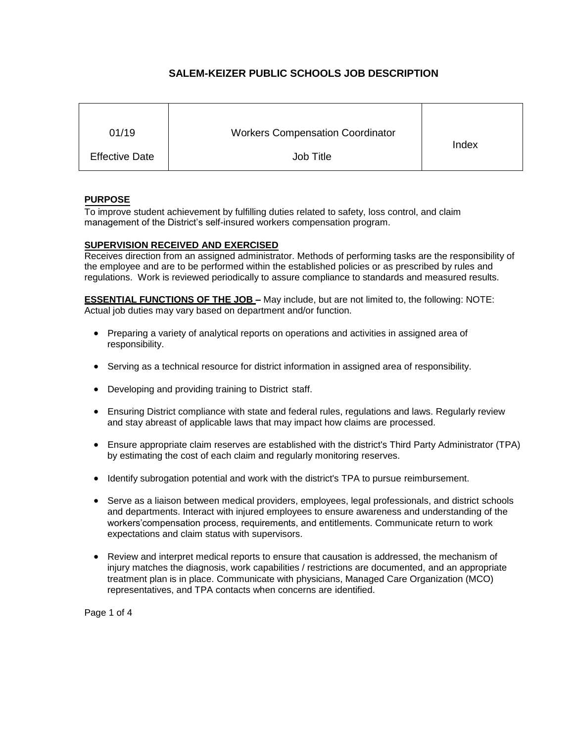# **SALEM-KEIZER PUBLIC SCHOOLS JOB DESCRIPTION**

| 01/19                 | <b>Workers Compensation Coordinator</b> | Index |
|-----------------------|-----------------------------------------|-------|
| <b>Effective Date</b> | Job Title                               |       |

#### **PURPOSE**

To improve student achievement by fulfilling duties related to safety, loss control, and claim management of the District's self-insured workers compensation program.

#### **SUPERVISION RECEIVED AND EXERCISED**

Receives direction from an assigned administrator. Methods of performing tasks are the responsibility of the employee and are to be performed within the established policies or as prescribed by rules and regulations. Work is reviewed periodically to assure compliance to standards and measured results.

**ESSENTIAL FUNCTIONS OF THE JOB –** May include, but are not limited to, the following: NOTE: Actual job duties may vary based on department and/or function.

- Preparing a variety of analytical reports on operations and activities in assigned area of responsibility.
- Serving as a technical resource for district information in assigned area of responsibility.
- Developing and providing training to District staff.
- Ensuring District compliance with state and federal rules, regulations and laws. Regularly review and stay abreast of applicable laws that may impact how claims are processed.
- Ensure appropriate claim reserves are established with the district's Third Party Administrator (TPA) by estimating the cost of each claim and regularly monitoring reserves.
- Identify subrogation potential and work with the district's TPA to pursue reimbursement.
- Serve as a liaison between medical providers, employees, legal professionals, and district schools and departments. Interact with injured employees to ensure awareness and understanding of the workers'compensation process, requirements, and entitlements. Communicate return to work expectations and claim status with supervisors.
- Review and interpret medical reports to ensure that causation is addressed, the mechanism of injury matches the diagnosis, work capabilities / restrictions are documented, and an appropriate treatment plan is in place. Communicate with physicians, Managed Care Organization (MCO) representatives, and TPA contacts when concerns are identified.

Page 1 of 4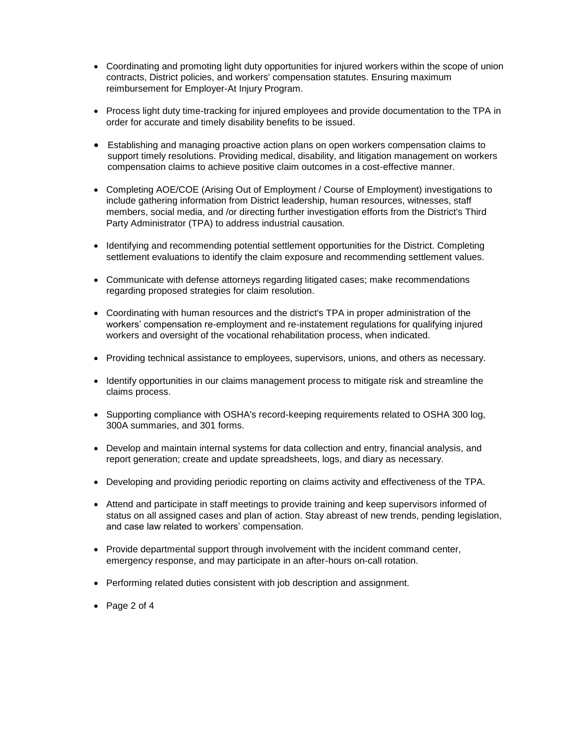- Coordinating and promoting light duty opportunities for injured workers within the scope of union contracts, District policies, and workers' compensation statutes. Ensuring maximum reimbursement for Employer-At Injury Program.
- Process light duty time-tracking for injured employees and provide documentation to the TPA in order for accurate and timely disability benefits to be issued.
- Establishing and managing proactive action plans on open workers compensation claims to support timely resolutions. Providing medical, disability, and litigation management on workers compensation claims to achieve positive claim outcomes in a cost-effective manner.
- Completing AOE/COE (Arising Out of Employment / Course of Employment) investigations to include gathering information from District leadership, human resources, witnesses, staff members, social media, and /or directing further investigation efforts from the District's Third Party Administrator (TPA) to address industrial causation.
- Identifying and recommending potential settlement opportunities for the District. Completing settlement evaluations to identify the claim exposure and recommending settlement values.
- Communicate with defense attorneys regarding litigated cases; make recommendations regarding proposed strategies for claim resolution.
- Coordinating with human resources and the district's TPA in proper administration of the workers' compensation re-employment and re-instatement regulations for qualifying injured workers and oversight of the vocational rehabilitation process, when indicated.
- Providing technical assistance to employees, supervisors, unions, and others as necessary.
- Identify opportunities in our claims management process to mitigate risk and streamline the claims process.
- Supporting compliance with OSHA's record-keeping requirements related to OSHA 300 log, 300A summaries, and 301 forms.
- Develop and maintain internal systems for data collection and entry, financial analysis, and report generation; create and update spreadsheets, logs, and diary as necessary.
- Developing and providing periodic reporting on claims activity and effectiveness of the TPA.
- Attend and participate in staff meetings to provide training and keep supervisors informed of status on all assigned cases and plan of action. Stay abreast of new trends, pending legislation, and case law related to workers' compensation.
- Provide departmental support through involvement with the incident command center, emergency response, and may participate in an after-hours on-call rotation.
- Performing related duties consistent with job description and assignment.
- Page 2 of 4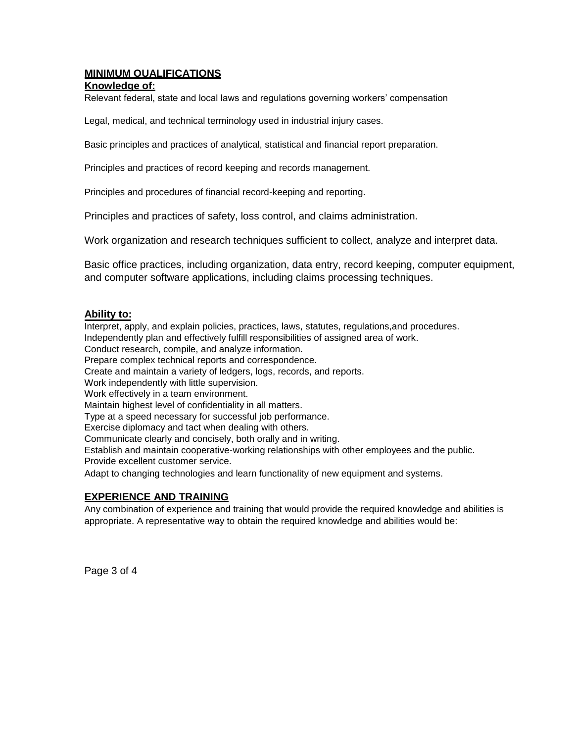# **MINIMUM QUALIFICATIONS**

#### **Knowledge of:**

Relevant federal, state and local laws and regulations governing workers' compensation

Legal, medical, and technical terminology used in industrial injury cases.

Basic principles and practices of analytical, statistical and financial report preparation.

Principles and practices of record keeping and records management.

Principles and procedures of financial record-keeping and reporting.

Principles and practices of safety, loss control, and claims administration.

Work organization and research techniques sufficient to collect, analyze and interpret data.

Basic office practices, including organization, data entry, record keeping, computer equipment, and computer software applications, including claims processing techniques.

#### **Ability to:**

Interpret, apply, and explain policies, practices, laws, statutes, regulations,and procedures. Independently plan and effectively fulfill responsibilities of assigned area of work.

Conduct research, compile, and analyze information.

Prepare complex technical reports and correspondence.

Create and maintain a variety of ledgers, logs, records, and reports.

Work independently with little supervision.

Work effectively in a team environment.

Maintain highest level of confidentiality in all matters.

Type at a speed necessary for successful job performance.

Exercise diplomacy and tact when dealing with others.

Communicate clearly and concisely, both orally and in writing.

Establish and maintain cooperative-working relationships with other employees and the public. Provide excellent customer service.

Adapt to changing technologies and learn functionality of new equipment and systems.

### **EXPERIENCE AND TRAINING**

Any combination of experience and training that would provide the required knowledge and abilities is appropriate. A representative way to obtain the required knowledge and abilities would be:

Page 3 of 4